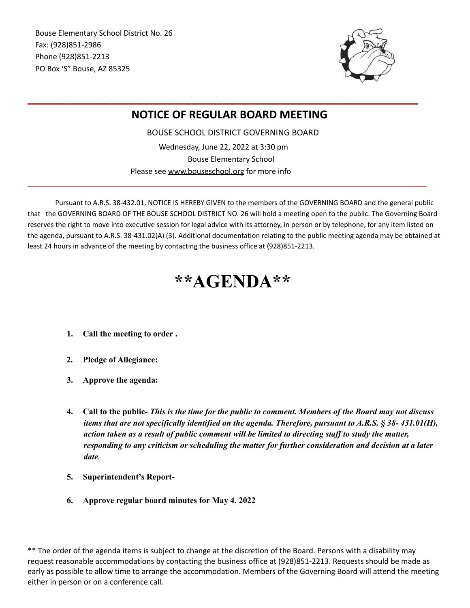Bouse Elementary School District No. 26 Fax: (928)851-2986 Phone (928)851-2213 PO Box 'S" Bouse, AZ 85325



## **NOTICE OF REGULAR BOARD MEETING**

**\_\_\_\_\_\_\_\_\_\_\_\_\_\_\_\_\_\_\_\_\_\_\_\_\_\_\_\_\_\_\_\_\_\_\_\_\_\_\_\_\_\_\_\_\_\_\_\_\_\_\_\_\_\_\_\_\_\_\_\_\_\_\_\_\_\_\_\_\_\_\_\_\_\_\_\_\_\_\_\_\_\_\_\_\_\_\_\_\_\_\_\_\_**

BOUSE SCHOOL DISTRICT GOVERNING BOARD Wednesday, June 22, 2022 at 3:30 pm Bouse Elementary School

**\_\_\_\_\_\_\_\_\_\_\_\_\_\_\_\_\_\_\_\_\_\_\_\_\_\_\_\_\_\_\_\_\_\_\_\_\_\_\_\_\_\_\_\_\_\_\_\_\_\_\_\_\_\_\_\_\_\_\_\_\_\_\_\_\_\_\_\_\_\_\_\_\_\_\_\_\_\_\_\_\_\_\_\_\_\_\_\_\_\_\_\_\_\_\_**

Please see [www.bouseschool.org](http://www.bouseschool.org/) for more info

Pursuant to A.R.S. 38-432.01, NOTICE IS HEREBY GIVEN to the members of the GOVERNING BOARD and the general public that the GOVERNING BOARD OF THE BOUSE SCHOOL DISTRICT NO. 26 will hold a meeting open to the public. The Governing Board reserves the right to move into executive session for legal advice with its attorney, in person or by telephone, for any item listed on the agenda, pursuant to A.R.S. 38-431.02(A) (3). Additional documentation relating to the public meeting agenda may be obtained at least 24 hours in advance of the meeting by contacting the business office at (928)851-2213.

## **\*\*AGENDA\*\***

- **1. Call the meeting to order .**
- **2. Pledge of Allegiance:**
- **3. Approve the agenda:**
- 4. Call to the public- This is the time for the public to comment. Members of the Board may not discuss *items that are not specifically identified on the agenda. Therefore, pursuant to A.R.S. § 38- 431.01(H), action taken as a result of public comment will be limited to directing staf to study the matter, responding to any criticism or scheduling the matter for further consideration and decision at a later date.*
- **5. Superintendent's Report-**
- **6. Approve regular board minutes for May 4, 2022**

\*\* The order of the agenda items is subject to change at the discretion of the Board. Persons with a disability may request reasonable accommodations by contacting the business office at (928)851-2213. Requests should be made as early as possible to allow time to arrange the accommodation. Members of the Governing Board will attend the meeting either in person or on a conference call.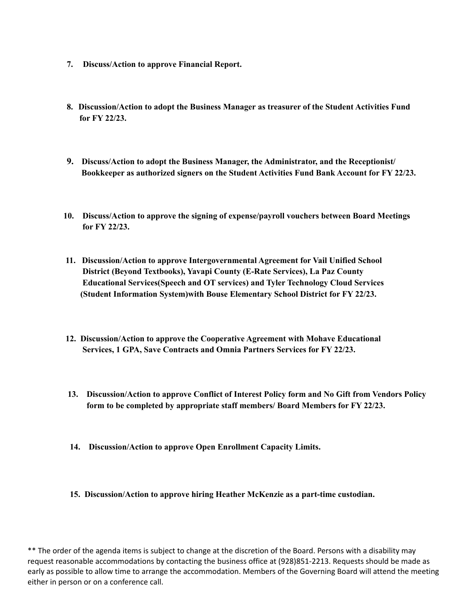- **7. Discuss/Action to approve Financial Report.**
- **8. Discussion/Action to adopt the Business Manager as treasurer of the Student Activities Fund for FY 22/23.**
- **9. Discuss/Action to adopt the Business Manager, the Administrator, and the Receptionist/ Bookkeeper as authorized signers on the Student Activities Fund Bank Account for FY 22/23.**
- **10. Discuss/Action to approve the signing of expense/payroll vouchers between Board Meetings for FY 22/23.**
- **11. Discussion/Action to approve Intergovernmental Agreement for Vail Unified School District (Beyond Textbooks), Yavapi County (E-Rate Services), La Paz County Educational Services(Speech and OT services) and Tyler Technology Cloud Services (Student Information System)with Bouse Elementary School District for FY 22/23.**
- **12. Discussion/Action to approve the Cooperative Agreement with Mohave Educational Services, 1 GPA, Save Contracts and Omnia Partners Services for FY 22/23.**
- **13. Discussion/Action to approve Conflict of Interest Policy form and No Gift from Vendors Policy form to be completed by appropriate staff members/ Board Members for FY 22/23.**
- **14. Discussion/Action to approve Open Enrollment Capacity Limits.**
- **15. Discussion/Action to approve hiring Heather McKenzie as a part-time custodian.**

\*\* The order of the agenda items is subject to change at the discretion of the Board. Persons with a disability may request reasonable accommodations by contacting the business office at (928)851-2213. Requests should be made as early as possible to allow time to arrange the accommodation. Members of the Governing Board will attend the meeting either in person or on a conference call.